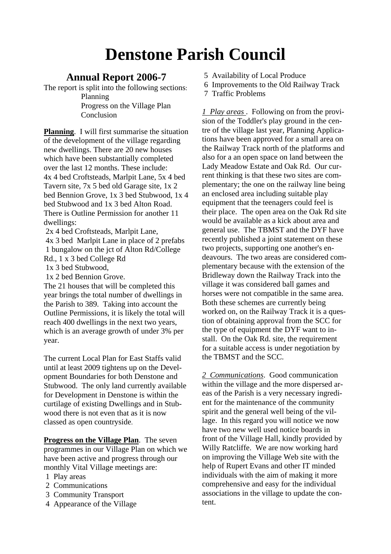# **Denstone Parish Council**

## **Annual Report 2006-7**

The report is split into the following sections:

 Planning Progress on the Village Plan Conclusion

**Planning**. I will first summarise the situation of the development of the village regarding new dwellings. There are 20 new houses which have been substantially completed over the last 12 months. These include: 4x 4 bed Croftsteads, Marlpit Lane, 5x 4 bed Tavern site, 7x 5 bed old Garage site, 1x 2 bed Bennion Grove, 1x 3 bed Stubwood, 1x 4 bed Stubwood and 1x 3 bed Alton Road. There is Outline Permission for another 11 dwellings:

 2x 4 bed Croftsteads, Marlpit Lane, 4x 3 bed Marlpit Lane in place of 2 prefabs 1 bungalow on the jct of Alton Rd/College Rd., 1 x 3 bed College Rd

1x 3 bed Stubwood,

1x 2 bed Bennion Grove.

The 21 houses that will be completed this year brings the total number of dwellings in the Parish to 389. Taking into account the Outline Permissions, it is likely the total will reach 400 dwellings in the next two years, which is an average growth of under 3% per year.

The current Local Plan for East Staffs valid until at least 2009 tightens up on the Development Boundaries for both Denstone and Stubwood. The only land currently available for Development in Denstone is within the curtilage of existing Dwellings and in Stubwood there is not even that as it is now classed as open countryside.

**Progress on the Village Plan**. The seven programmes in our Village Plan on which we have been active and progress through our monthly Vital Village meetings are:

- 1 Play areas
- 2 Communications
- 3 Community Transport
- 4 Appearance of the Village
- 5 Availability of Local Produce
- 6 Improvements to the Old Railway Track
- 7 Traffic Problems

*1 Play areas* . Following on from the provision of the Toddler's play ground in the centre of the village last year, Planning Applications have been approved for a small area on the Railway Track north of the platforms and also for a an open space on land between the Lady Meadow Estate and Oak Rd. Our current thinking is that these two sites are complementary; the one on the railway line being an enclosed area including suitable play equipment that the teenagers could feel is their place. The open area on the Oak Rd site would be available as a kick about area and general use. The TBMST and the DYF have recently published a joint statement on these two projects, supporting one another's endeavours. The two areas are considered complementary because with the extension of the Bridleway down the Railway Track into the village it was considered ball games and horses were not compatible in the same area. Both these schemes are currently being worked on, on the Railway Track it is a question of obtaining approval from the SCC for the type of equipment the DYF want to install. On the Oak Rd. site, the requirement for a suitable access is under negotiation by the TBMST and the SCC.

*2 Communications*. Good communication within the village and the more dispersed areas of the Parish is a very necessary ingredient for the maintenance of the community spirit and the general well being of the village. In this regard you will notice we now have two new well used notice boards in front of the Village Hall, kindly provided by Willy Ratcliffe. We are now working hard on improving the Village Web site with the help of Rupert Evans and other IT minded individuals with the aim of making it more comprehensive and easy for the individual associations in the village to update the content.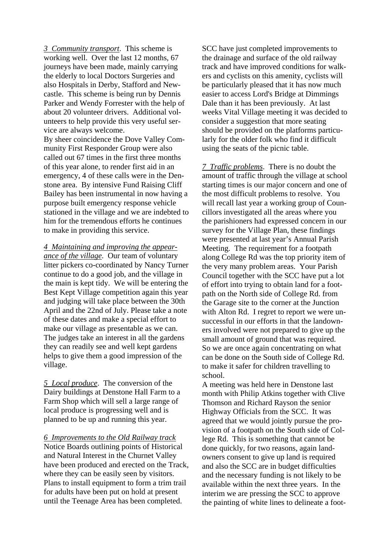*3 Community transport*. This scheme is working well. Over the last 12 months, 67 journeys have been made, mainly carrying the elderly to local Doctors Surgeries and also Hospitals in Derby, Stafford and Newcastle. This scheme is being run by Dennis Parker and Wendy Forrester with the help of about 20 volunteer drivers. Additional volunteers to help provide this very useful service are always welcome.

By sheer coincidence the Dove Valley Community First Responder Group were also called out 67 times in the first three months of this year alone, to render first aid in an emergency, 4 of these calls were in the Denstone area. By intensive Fund Raising Cliff Bailey has been instrumental in now having a purpose built emergency response vehicle stationed in the village and we are indebted to him for the tremendous efforts he continues to make in providing this service.

*4 Maintaining and improving the appearance of the village*. Our team of voluntary litter pickers co-coordinated by Nancy Turner continue to do a good job, and the village in the main is kept tidy. We will be entering the Best Kept Village competition again this year and judging will take place between the 30th April and the 22nd of July. Please take a note of these dates and make a special effort to make our village as presentable as we can. The judges take an interest in all the gardens they can readily see and well kept gardens helps to give them a good impression of the village.

*5 Local produce*. The conversion of the Dairy buildings at Denstone Hall Farm to a Farm Shop which will sell a large range of local produce is progressing well and is planned to be up and running this year.

*6 Improvements to the Old Railway track* 

Notice Boards outlining points of Historical and Natural Interest in the Churnet Valley have been produced and erected on the Track, where they can be easily seen by visitors. Plans to install equipment to form a trim trail for adults have been put on hold at present until the Teenage Area has been completed.

SCC have just completed improvements to the drainage and surface of the old railway track and have improved conditions for walkers and cyclists on this amenity, cyclists will be particularly pleased that it has now much easier to access Lord's Bridge at Dimmings Dale than it has been previously. At last weeks Vital Village meeting it was decided to consider a suggestion that more seating should be provided on the platforms particularly for the older folk who find it difficult using the seats of the picnic table.

*7 Traffic problems*. There is no doubt the amount of traffic through the village at school starting times is our major concern and one of the most difficult problems to resolve. You will recall last year a working group of Councillors investigated all the areas where you the parishioners had expressed concern in our survey for the Village Plan, these findings were presented at last year's Annual Parish Meeting. The requirement for a footpath along College Rd was the top priority item of the very many problem areas. Your Parish Council together with the SCC have put a lot of effort into trying to obtain land for a footpath on the North side of College Rd. from the Garage site to the corner at the Junction with Alton Rd. I regret to report we were unsuccessful in our efforts in that the landowners involved were not prepared to give up the small amount of ground that was required. So we are once again concentrating on what can be done on the South side of College Rd. to make it safer for children travelling to school.

A meeting was held here in Denstone last month with Philip Atkins together with Clive Thomson and Richard Rayson the senior Highway Officials from the SCC. It was agreed that we would jointly pursue the provision of a footpath on the South side of College Rd. This is something that cannot be done quickly, for two reasons, again landowners consent to give up land is required and also the SCC are in budget difficulties and the necessary funding is not likely to be available within the next three years. In the interim we are pressing the SCC to approve the painting of white lines to delineate a foot-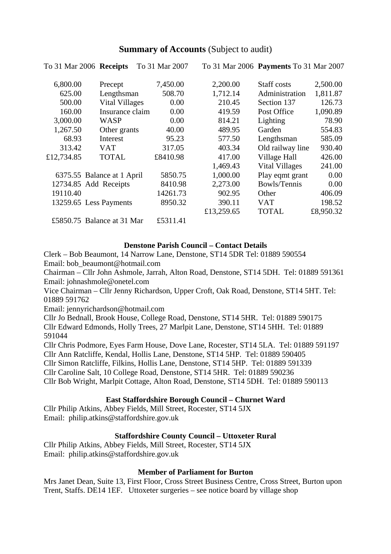### **Summary of Accounts** (Subject to audit)

To 31 Mar 2006 **Payments** To 31 Mar 2007

|            | To 31 Mar 2006 Receipts    | To 31 Mar 2007 |            | To 31 Mar 2006 Payments To 31 Mar 2007 |           |
|------------|----------------------------|----------------|------------|----------------------------------------|-----------|
| 6,800.00   | Precept                    | 7,450.00       | 2,200.00   | Staff costs                            | 2,500.00  |
| 625.00     | Lengthsman                 | 508.70         | 1,712.14   | Administration                         | 1,811.87  |
| 500.00     | <b>Vital Villages</b>      | 0.00           | 210.45     | Section 137                            | 126.73    |
| 160.00     | Insurance claim            | 0.00           | 419.59     | Post Office                            | 1,090.89  |
| 3,000.00   | WASP                       | 0.00           | 814.21     | Lighting                               | 78.90     |
| 1,267.50   | Other grants               | 40.00          | 489.95     | Garden                                 | 554.83    |
| 68.93      | Interest                   | 95.23          | 577.50     | Lengthsman                             | 585.09    |
| 313.42     | <b>VAT</b>                 | 317.05         | 403.34     | Old railway line                       | 930.40    |
| £12,734.85 | <b>TOTAL</b>               | £8410.98       | 417.00     | Village Hall                           | 426.00    |
|            |                            |                | 1,469.43   | <b>Vital Villages</b>                  | 241.00    |
|            | 6375.55 Balance at 1 April | 5850.75        | 1,000.00   | Play eqmt grant                        | 0.00      |
|            | 12734.85 Add Receipts      | 8410.98        | 2,273.00   | Bowls/Tennis                           | 0.00      |
| 19110.40   |                            | 14261.73       | 902.95     | Other                                  | 406.09    |
|            | 13259.65 Less Payments     | 8950.32        | 390.11     | VAT                                    | 198.52    |
|            |                            |                | £13,259.65 | <b>TOTAL</b>                           | £8,950.32 |
|            | £5850.75 Balance at 31 Mar | £5311.41       |            |                                        |           |

#### **Denstone Parish Council – Contact Details**

Clerk – Bob Beaumont, 14 Narrow Lane, Denstone, ST14 5DR Tel: 01889 590554 Email: bob\_beaumont@hotmail.com

Chairman – Cllr John Ashmole, Jarrah, Alton Road, Denstone, ST14 5DH. Tel: 01889 591361 Email: johnashmole@onetel.com

Vice Chairman – Cllr Jenny Richardson, Upper Croft, Oak Road, Denstone, ST14 5HT. Tel: 01889 591762

Email: jennyrichardson@hotmail.com

Cllr Jo Bednall, Brook House, College Road, Denstone, ST14 5HR. Tel: 01889 590175 Cllr Edward Edmonds, Holly Trees, 27 Marlpit Lane, Denstone, ST14 5HH. Tel: 01889 591044

Cllr Chris Podmore, Eyes Farm House, Dove Lane, Rocester, ST14 5LA. Tel: 01889 591197 Cllr Ann Ratcliffe, Kendal, Hollis Lane, Denstone, ST14 5HP. Tel: 01889 590405 Cllr Simon Ratcliffe, Filkins, Hollis Lane, Denstone, ST14 5HP. Tel: 01889 591339 Cllr Caroline Salt, 10 College Road, Denstone, ST14 5HR. Tel: 01889 590236 Cllr Bob Wright, Marlpit Cottage, Alton Road, Denstone, ST14 5DH. Tel: 01889 590113

#### **East Staffordshire Borough Council – Churnet Ward**

Cllr Philip Atkins, Abbey Fields, Mill Street, Rocester, ST14 5JX Email: philip.atkins@staffordshire.gov.uk

#### **Staffordshire County Council – Uttoxeter Rural**

Cllr Philip Atkins, Abbey Fields, Mill Street, Rocester, ST14 5JX Email: philip.atkins@staffordshire.gov.uk

#### **Member of Parliament for Burton**

Mrs Janet Dean, Suite 13, First Floor, Cross Street Business Centre, Cross Street, Burton upon Trent, Staffs. DE14 1EF. Uttoxeter surgeries – see notice board by village shop